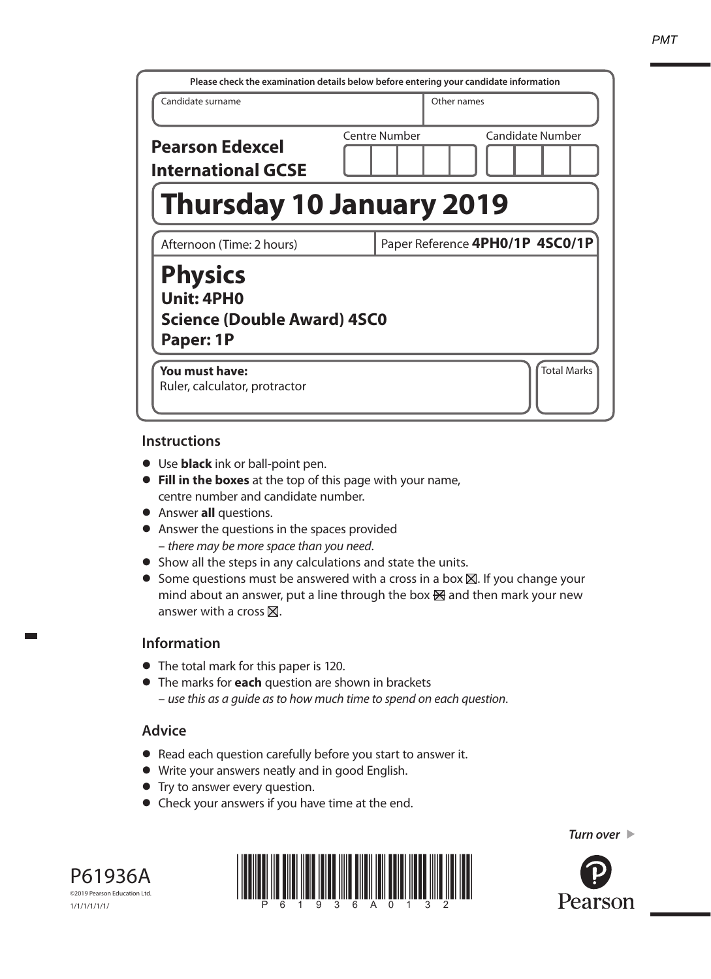| Please check the examination details below before entering your candidate information |                      |                                 |
|---------------------------------------------------------------------------------------|----------------------|---------------------------------|
| Candidate surname                                                                     |                      | Other names                     |
| <b>Pearson Edexcel</b><br><b>International GCSE</b>                                   | <b>Centre Number</b> | <b>Candidate Number</b>         |
| <b>Thursday 10 January 2019</b>                                                       |                      |                                 |
| Afternoon (Time: 2 hours)                                                             |                      | Paper Reference 4PH0/1P 4SC0/1P |
| <b>Physics</b><br>Unit: 4PH0<br><b>Science (Double Award) 4SC0</b><br>Paper: 1P       |                      |                                 |
| You must have:<br>Ruler, calculator, protractor                                       |                      | <b>Total Marks</b>              |

### **Instructions**

- **•** Use **black** ink or ball-point pen.
- **• Fill in the boxes** at the top of this page with your name, centre number and candidate number.
- **•** Answer **all** questions.
- **•** Answer the questions in the spaces provided – *there may be more space than you need*.
- **•** Show all the steps in any calculations and state the units.
- Some questions must be answered with a cross in a box  $\boxtimes$ . If you change your mind about an answer, put a line through the box  $\mathbb{\mathbb{R}}$  and then mark your new answer with a cross  $\nabla$ .

# **Information**

- **•** The total mark for this paper is 120.
- **•** The marks for **each** question are shown in brackets – *use this as a guide as to how much time to spend on each question*.

# **Advice**

- **•** Read each question carefully before you start to answer it.
- **•** Write your answers neatly and in good English.
- **•** Try to answer every question.
- **•** Check your answers if you have time at the end.





*Turn over* 

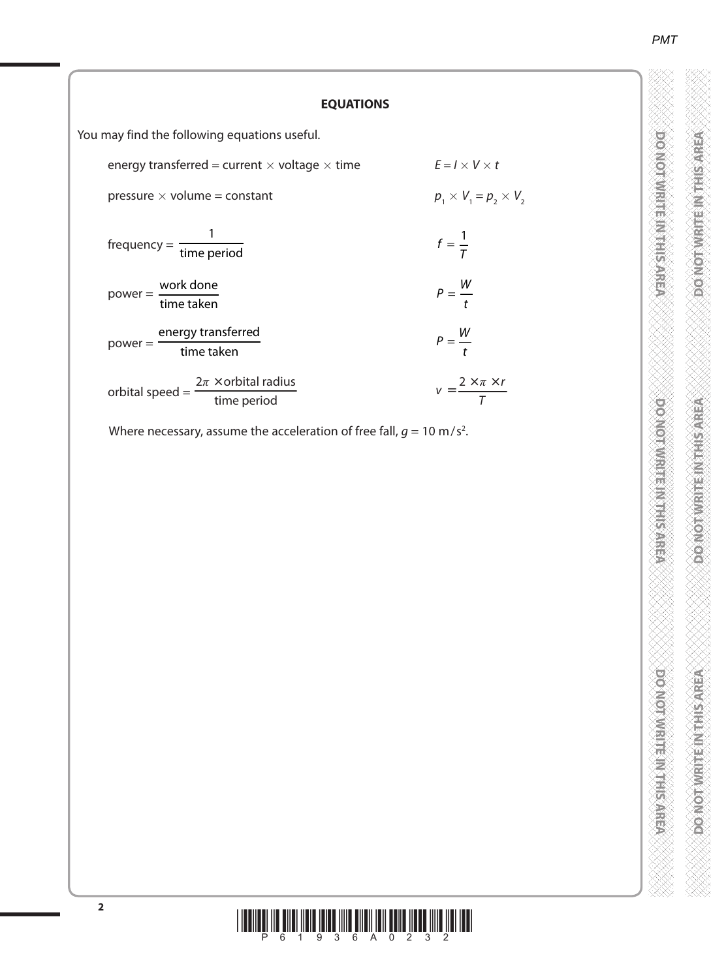**DO NOTE:** 

**DOMOTWRITE MYHEAREA** 

**DO NOTE:** 

**OOMOTIVITIE INTERNATIONS** 

**DO NOTE:** 

DO NOTWRITE IN THIS AREA

### **EQUATIONS**

You may find the following equations useful.

| energy transferred = current $\times$ voltage $\times$ time                    | $E = I \times V \times t$             |
|--------------------------------------------------------------------------------|---------------------------------------|
| pressure $\times$ volume = constant                                            | $p_1 \times V_1 = p_2 \times V_2$     |
| $frequency = \frac{1}{time period}$                                            | $f=\frac{1}{T}$                       |
| $power = \frac{work \, done}{time \, taken}$                                   | $P = \frac{W}{t}$                     |
| energy transferred<br>$power = \frac{1}{time taken}$                           | $P = \frac{W}{t}$                     |
| orbital speed = $\frac{2\pi \times \text{orbital radius}}{\text{time period}}$ | $v = \frac{2 \times \pi \times r}{T}$ |

Where necessary, assume the acceleration of free fall,  $g = 10 \text{ m/s}^2$ .

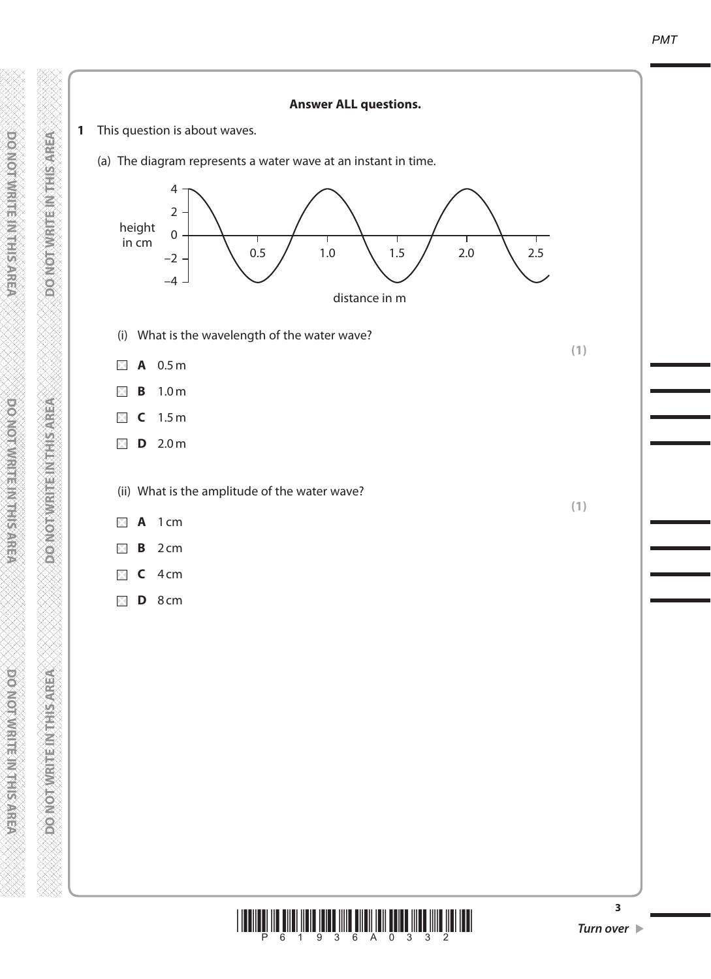

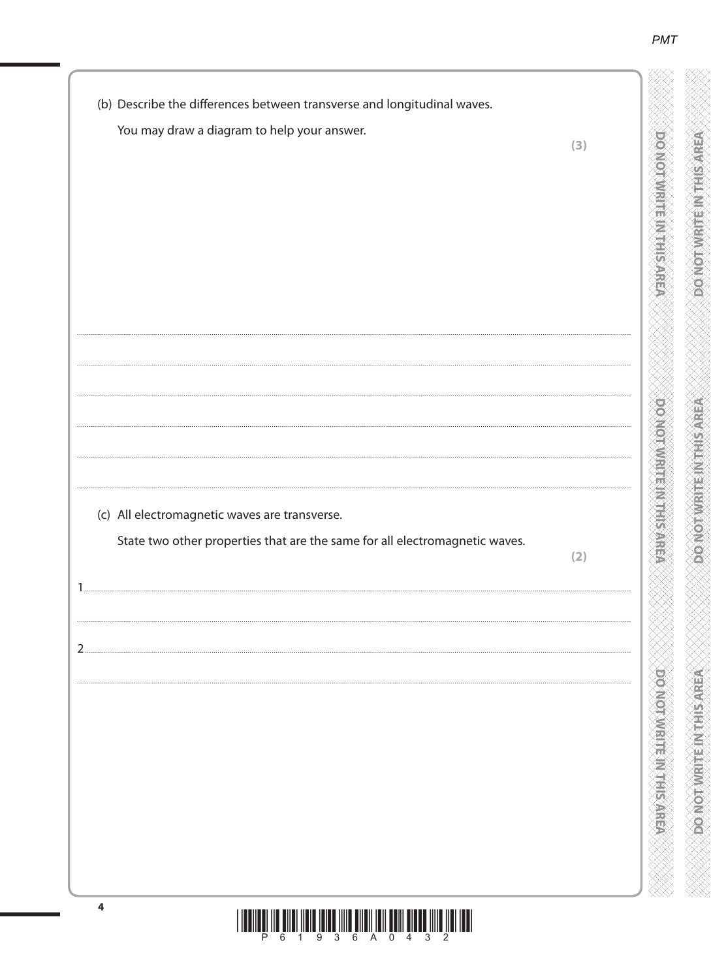| (b) Describe the differences between transverse and longitudinal waves.<br>You may draw a diagram to help your answer. |     |
|------------------------------------------------------------------------------------------------------------------------|-----|
|                                                                                                                        | (3) |
|                                                                                                                        |     |
|                                                                                                                        |     |
|                                                                                                                        |     |
|                                                                                                                        |     |
|                                                                                                                        |     |
|                                                                                                                        |     |
|                                                                                                                        |     |
|                                                                                                                        |     |
|                                                                                                                        |     |
|                                                                                                                        |     |
|                                                                                                                        |     |
|                                                                                                                        |     |
| (c) All electromagnetic waves are transverse.                                                                          |     |
| State two other properties that are the same for all electromagnetic waves.                                            |     |
|                                                                                                                        | (2) |
|                                                                                                                        |     |
|                                                                                                                        |     |
|                                                                                                                        |     |
|                                                                                                                        |     |
|                                                                                                                        |     |
|                                                                                                                        |     |
|                                                                                                                        |     |
|                                                                                                                        |     |
|                                                                                                                        |     |
|                                                                                                                        |     |
|                                                                                                                        |     |
|                                                                                                                        |     |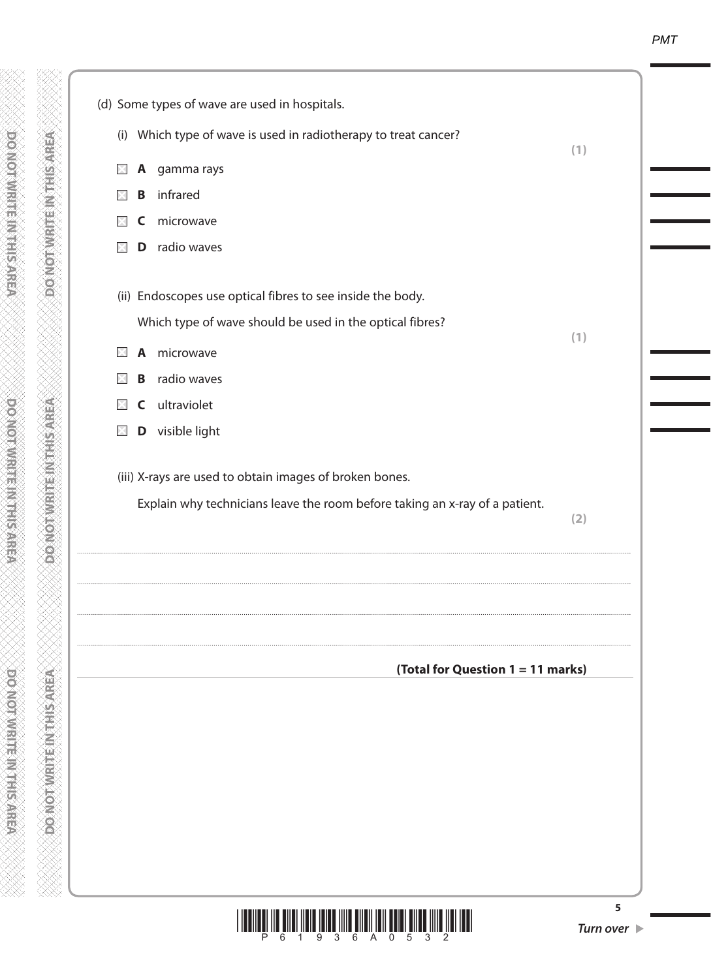

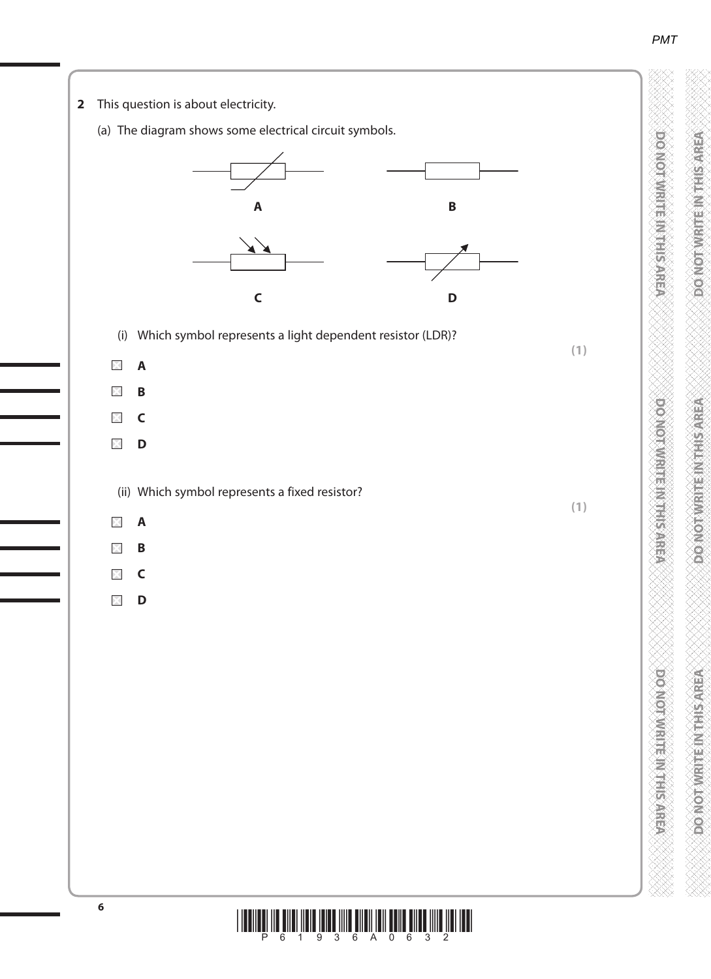

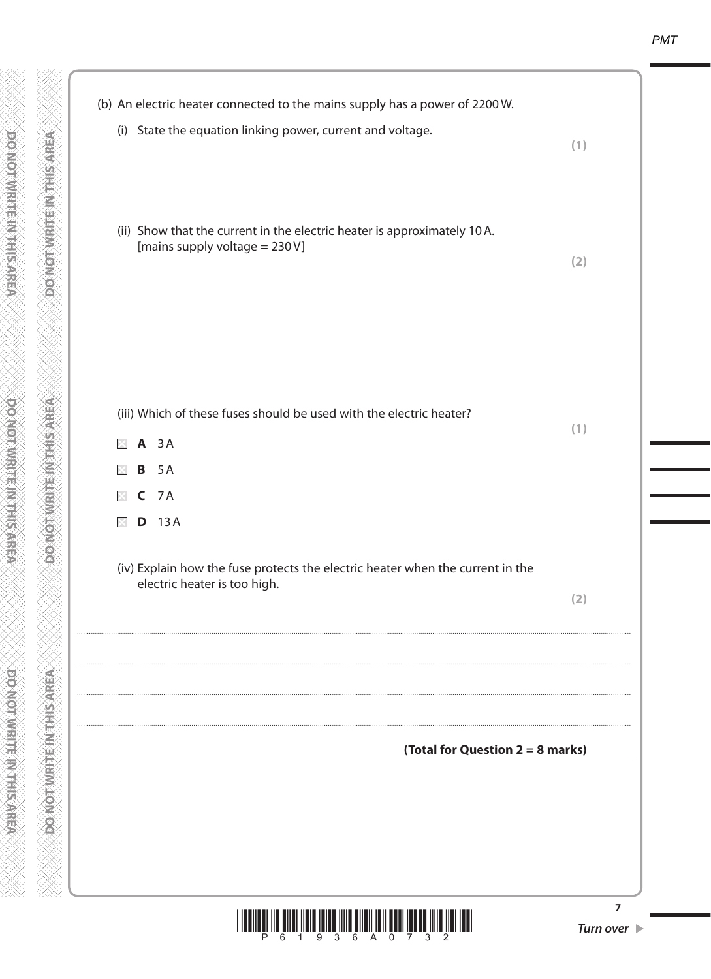|                                                       | (b) An electric heater connected to the mains supply has a power of 2200 W.<br>(i) State the equation linking power, current and voltage. | (1) |
|-------------------------------------------------------|-------------------------------------------------------------------------------------------------------------------------------------------|-----|
|                                                       | (ii) Show that the current in the electric heater is approximately 10A.<br>[mains supply voltage = $230V$ ]                               | (2) |
| <b>A</b> 3A<br>$\boxtimes$<br>$\boxtimes$<br>$\times$ | (iii) Which of these fuses should be used with the electric heater?<br><b>B</b> 5A<br>$C$ 7A<br><b>D</b> 13A                              | (1) |
|                                                       | (iv) Explain how the fuse protects the electric heater when the current in the<br>electric heater is too high.                            | (2) |
|                                                       | (Total for Question 2 = 8 marks)                                                                                                          |     |

**DO NOT WRITE IN THIS AREA DO NOT WRITE IN THIS AREA DO NOT WRITE IN THIS AREA**

**DOMOTIVRITENTISAREA** 

DO NOT WRITE IN THIS AREA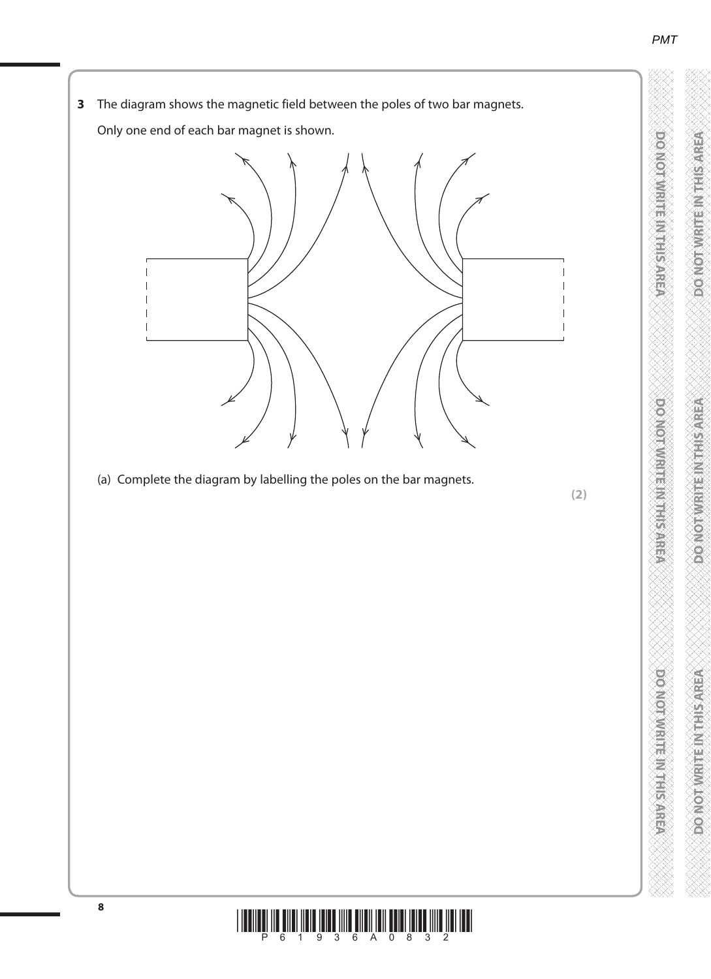

**DO NOTE:** 

**DOMOTWRITEIN STREET** 

**DO NOTE:** 

**DONO MIRRIE INSTRUCTION** 

**DO NOTE:** 

DO NOT WRITE IN THIS AREA

\*P61936A0832\*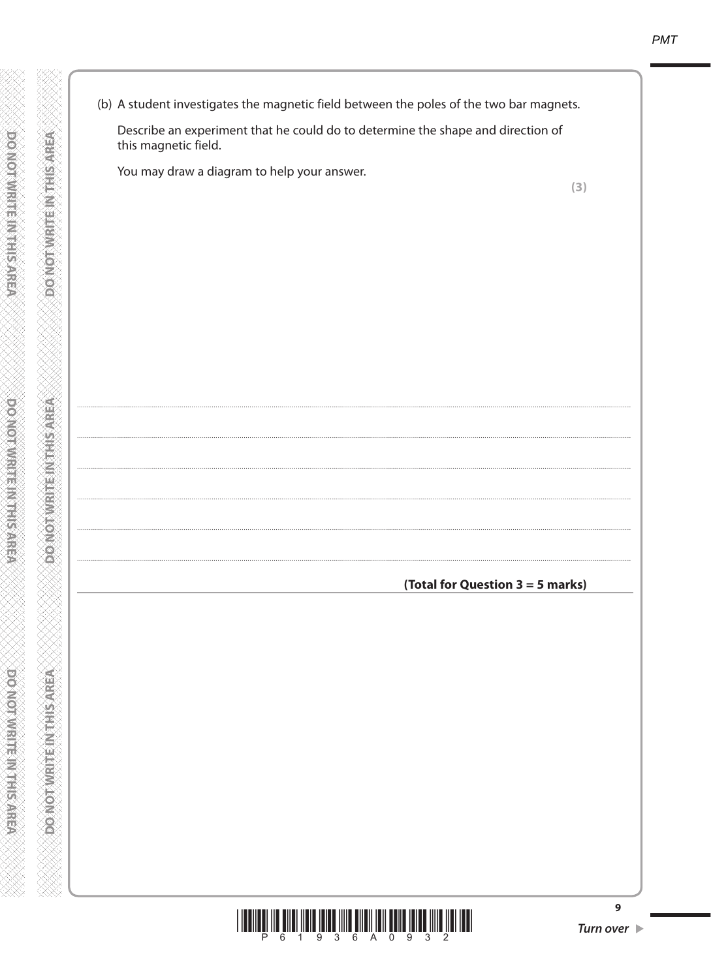(b) A student investigates the magnetic field between the poles of the two bar magnets.

Describe an experiment that he could do to determine the shape and direction of this magnetic field.

You may draw a diagram to help your answer.

 $(3)$ 

# (Total for Question  $3 = 5$  marks)

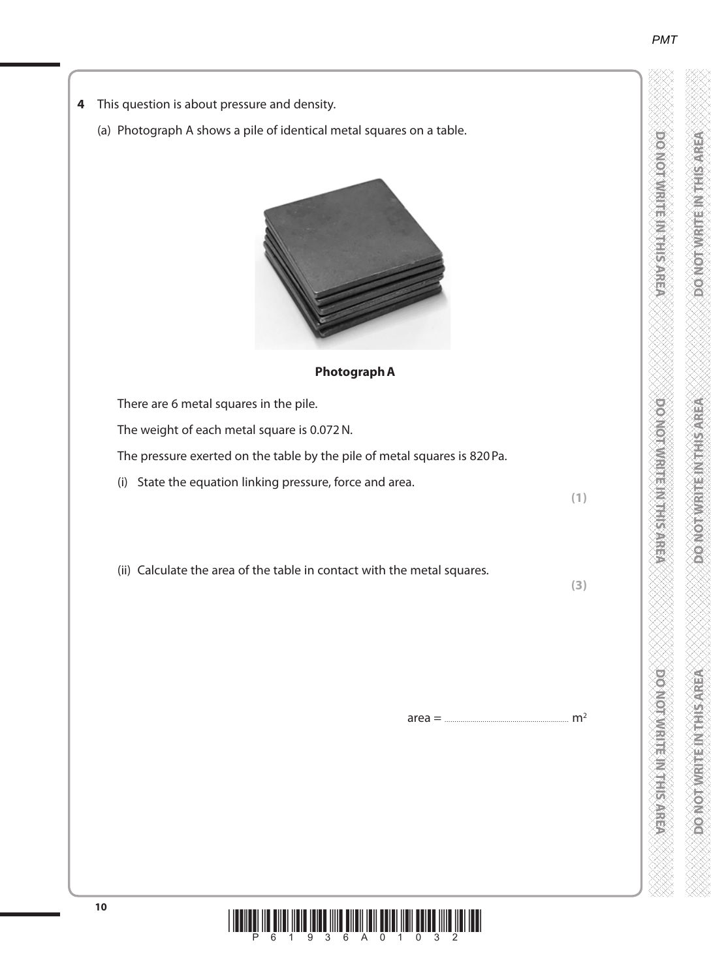**DO NOTE:** 

DO NOTIVRITE IN THIS AREA

**DO NOTE:** 

**DONOLWRITEIN IT REARER** 

**DO NOTE:** 

DO NOT WRITE IN THIS AREA

- **4** This question is about pressure and density.
	- (a) Photograph A shows a pile of identical metal squares on a table.



### **PhotographA**

There are 6 metal squares in the pile.

The weight of each metal square is 0.072N.

The pressure exerted on the table by the pile of metal squares is 820Pa.

(i) State the equation linking pressure, force and area.

**(1)**

(ii) Calculate the area of the table in contact with the metal squares.

**(3)**

area = .............................................................. m2

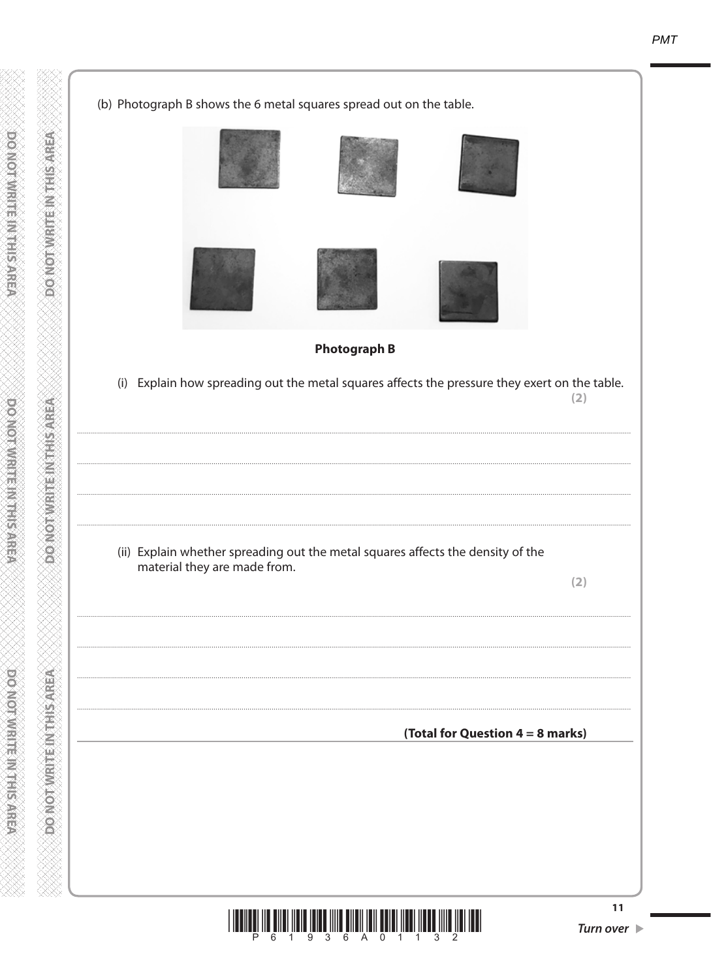

1 9 3 6 A 0 1 1 3 2

6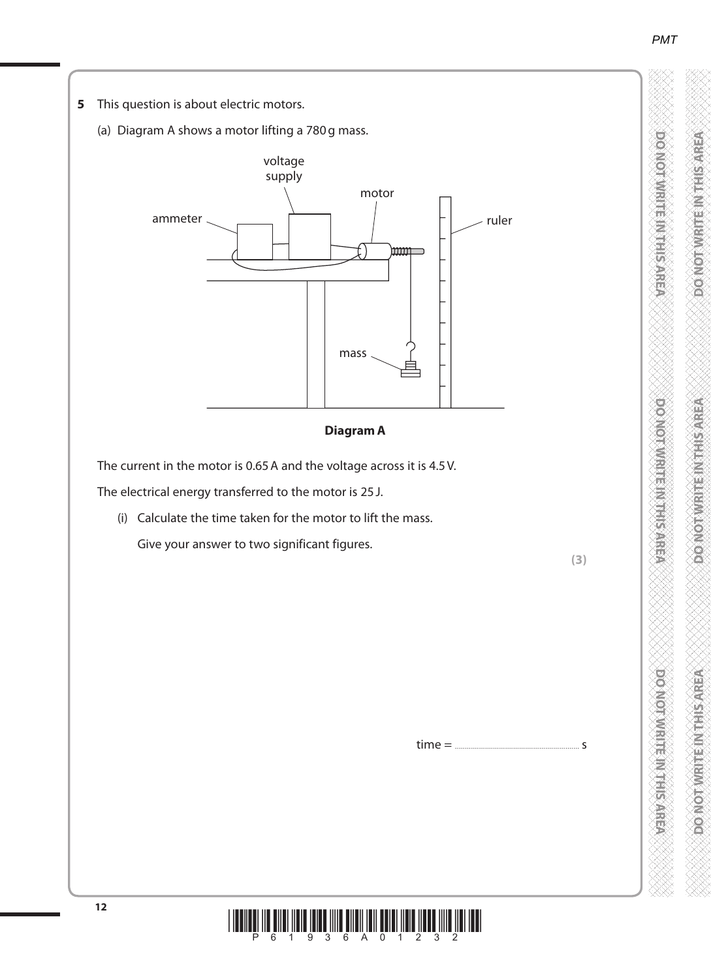**DO NOTE:** 

DO NOTWRITE IN THIS AREA

**DO NOTE:** 

**DOMOTAME IN NUTRIES** 

**DO NOTE:** 

DO NOT WRITE IN THIS AREA

- **5** This question is about electric motors.
	- (a) Diagram A shows a motor lifting a 780g mass.



#### **Diagram A**

The current in the motor is 0.65A and the voltage across it is 4.5V.

The electrical energy transferred to the motor is 25J.

(i) Calculate the time taken for the motor to lift the mass.

Give your answer to two significant figures.

**(3)**

time = .............................................................. s

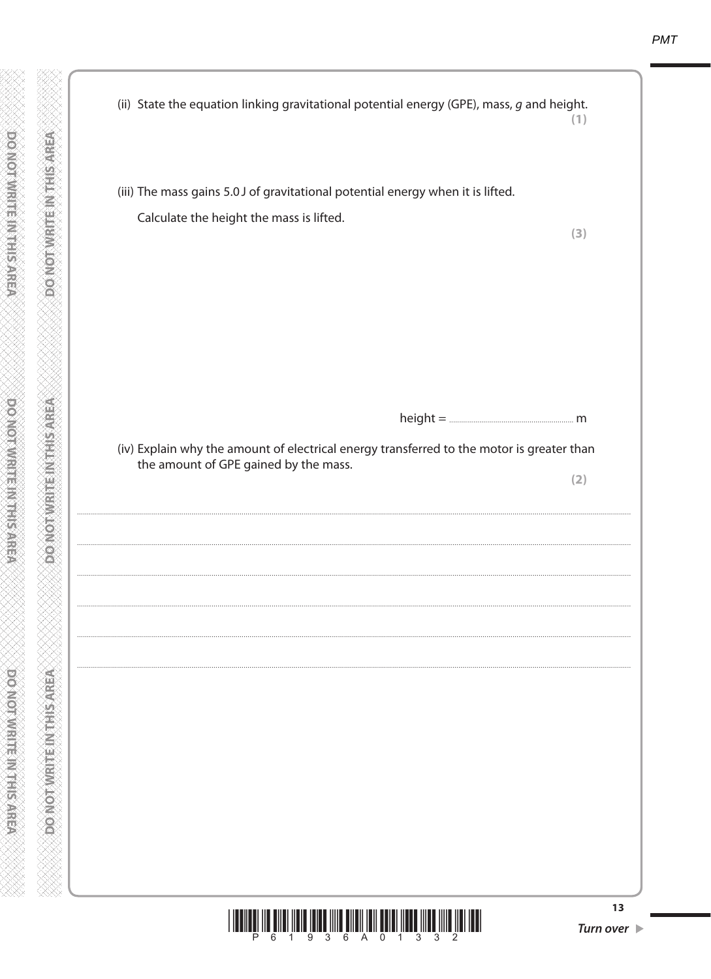| (ii) State the equation linking gravitational potential energy (GPE), mass, g and height.<br>(1)                                  |    |
|-----------------------------------------------------------------------------------------------------------------------------------|----|
| (iii) The mass gains 5.0J of gravitational potential energy when it is lifted.<br>Calculate the height the mass is lifted.<br>(3) |    |
|                                                                                                                                   |    |
| (iv) Explain why the amount of electrical energy transferred to the motor is greater than                                         |    |
| the amount of GPE gained by the mass.<br>(2)                                                                                      |    |
|                                                                                                                                   |    |
|                                                                                                                                   | 13 |

**DO NOT WRITE IN THIS AREA** 

**DONOTWRITEINTHIS AREA** 

**EXERCIT MORTEN DESCRIPTION** 

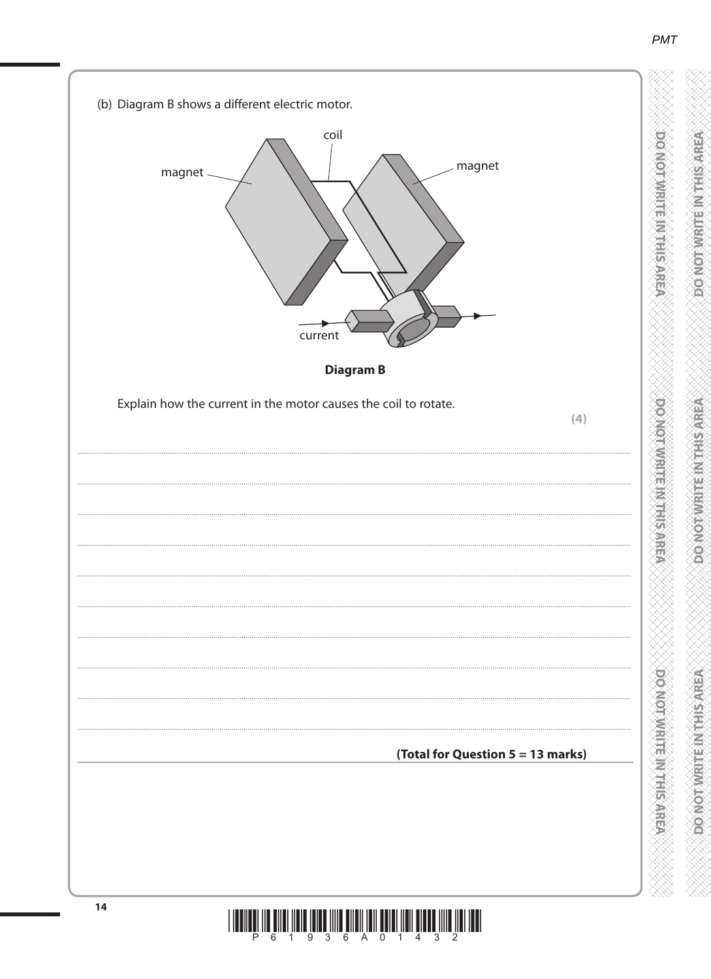

Щ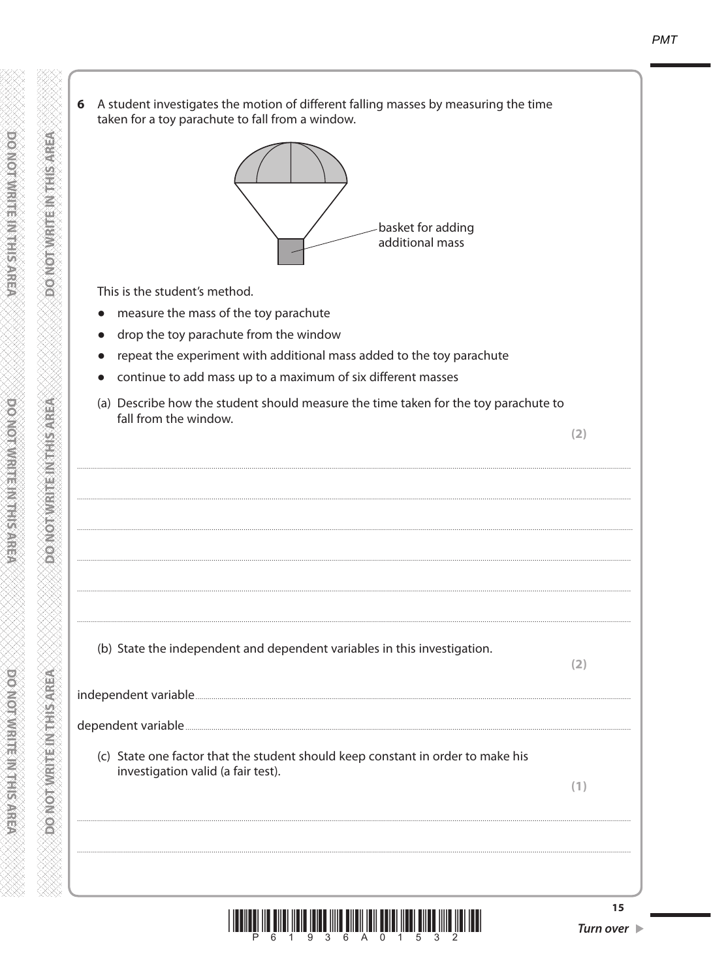6 A student investigates the motion of different falling masses by measuring the time taken for a toy parachute to fall from a window. basket for adding additional mass This is the student's method. • measure the mass of the toy parachute drop the toy parachute from the window  $\bullet$ repeat the experiment with additional mass added to the toy parachute continue to add mass up to a maximum of six different masses  $\bullet$ (a) Describe how the student should measure the time taken for the toy parachute to fall from the window.  $(2)$ (b) State the independent and dependent variables in this investigation.  $(2)$ (c) State one factor that the student should keep constant in order to make his investigation valid (a fair test).  $(1)$  $15$ 

Ź C<br>C

**SCONOTING ENGINEERS**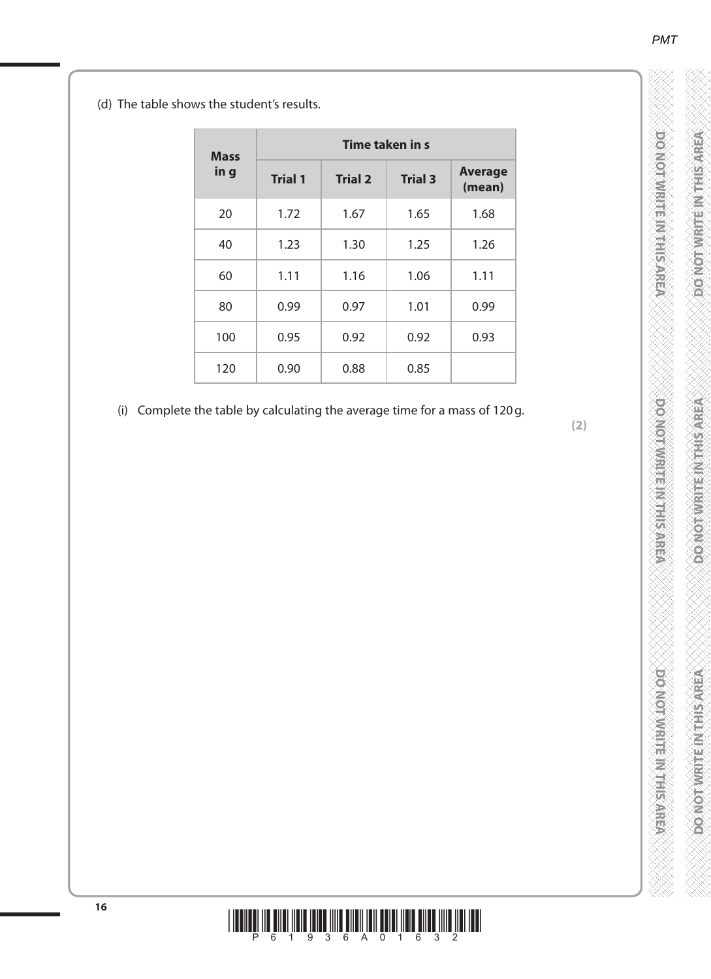**DO NOTE: AREA**<br>DO NOTE: AREA PRIME IN THIS AREA PRIME IN THIS AREA PRIME IN THIS AREA PRIME IN THIS AREA PRIME IN THIS AREA PRIME IN THE UPPER IN THE UPPER IN THE UPPER IN THE UPPER IN THE UPPER IN THE UPPER IN THE UPPER

**DOMOTWRITE MYHEAREA** 

**DO NOTE:** 

**OOMOTIVITIE INTERNATIONS** 

**DO NOTE:** 

DO NOT WRITE IN THIS AREA

(d) The table shows the student's results.

| <b>Mass</b> | Time taken in s |                |                |                          |  |  |
|-------------|-----------------|----------------|----------------|--------------------------|--|--|
| in g        | <b>Trial 1</b>  | <b>Trial 2</b> | <b>Trial 3</b> | <b>Average</b><br>(mean) |  |  |
| 20          | 1.72            | 1.67           | 1.65           | 1.68                     |  |  |
| 40          | 1.23            | 1.30           | 1.25           | 1.26                     |  |  |
| 60          | 1.11            | 1.16           | 1.06           | 1.11                     |  |  |
| 80          | 0.99            | 0.97           | 1.01           | 0.99                     |  |  |
| 100         | 0.95            | 0.92           | 0.92           | 0.93                     |  |  |
| 120         | 0.90            | 0.88           | 0.85           |                          |  |  |

(i) Complete the table by calculating the average time for a mass of 120g.

**(2)**

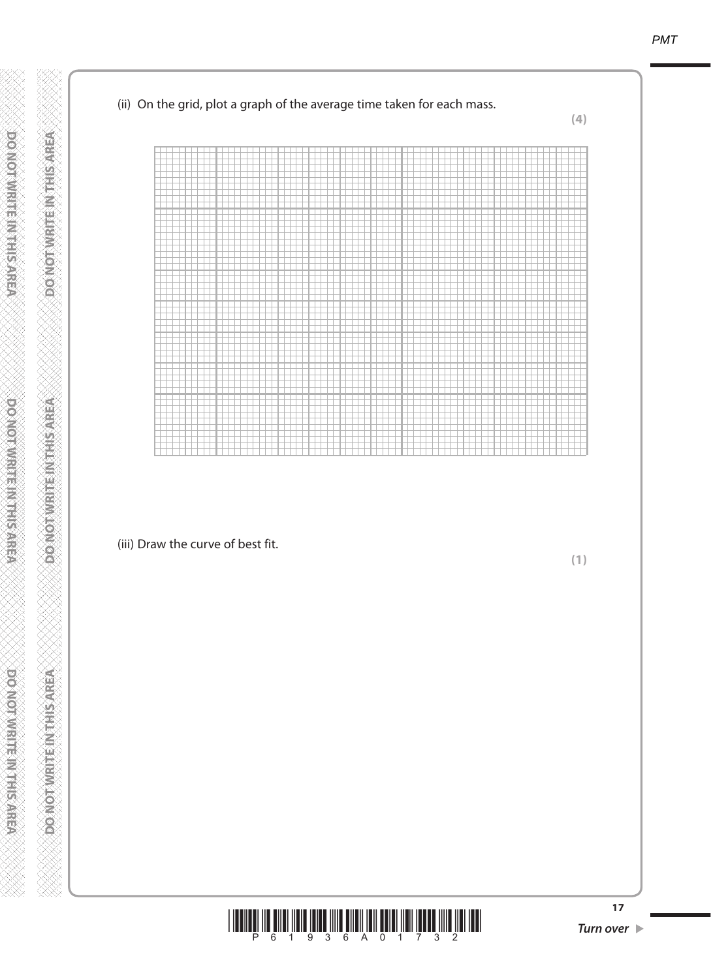

#### (iii) Draw the curve of best fit.

**(1)**

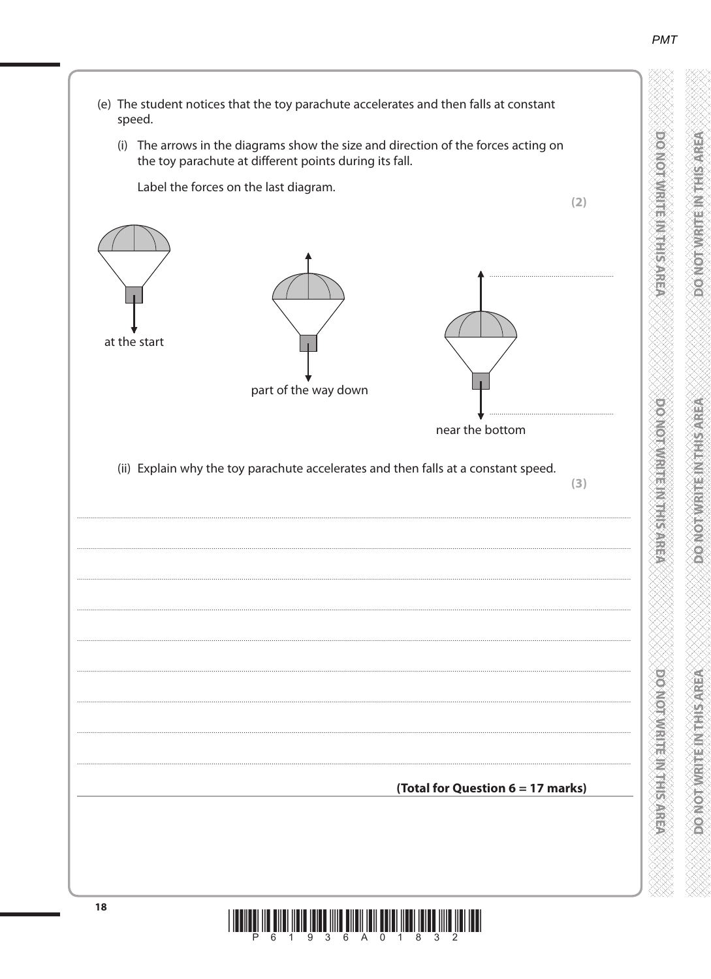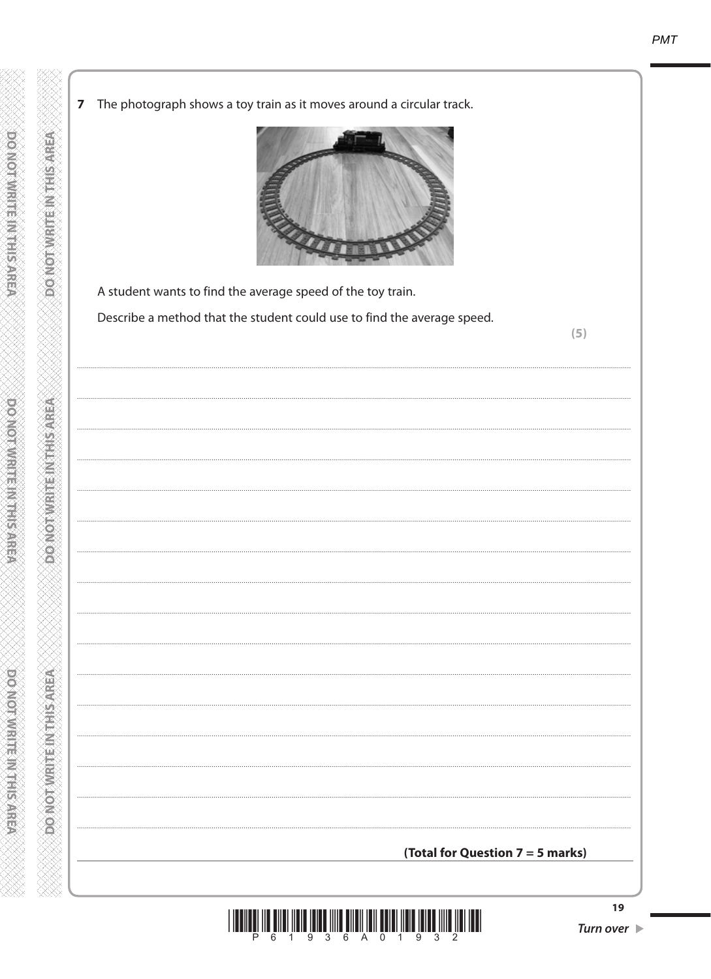The photograph shows a toy train as it moves around a circular track.  $\overline{\mathbf{z}}$ A student wants to find the average speed of the toy train. Describe a method that the student could use to find the average speed.  $(5)$ (Total for Question 7 = 5 marks) 19

 $9 \t3 \t6 \tA \t0 \t1 \t9$ 

 $\mathbf{3}$ 

6  $\overline{1}$ 

**DOMOTOM HEATHER** 

**DOMOT WRITEIN THIS AREA**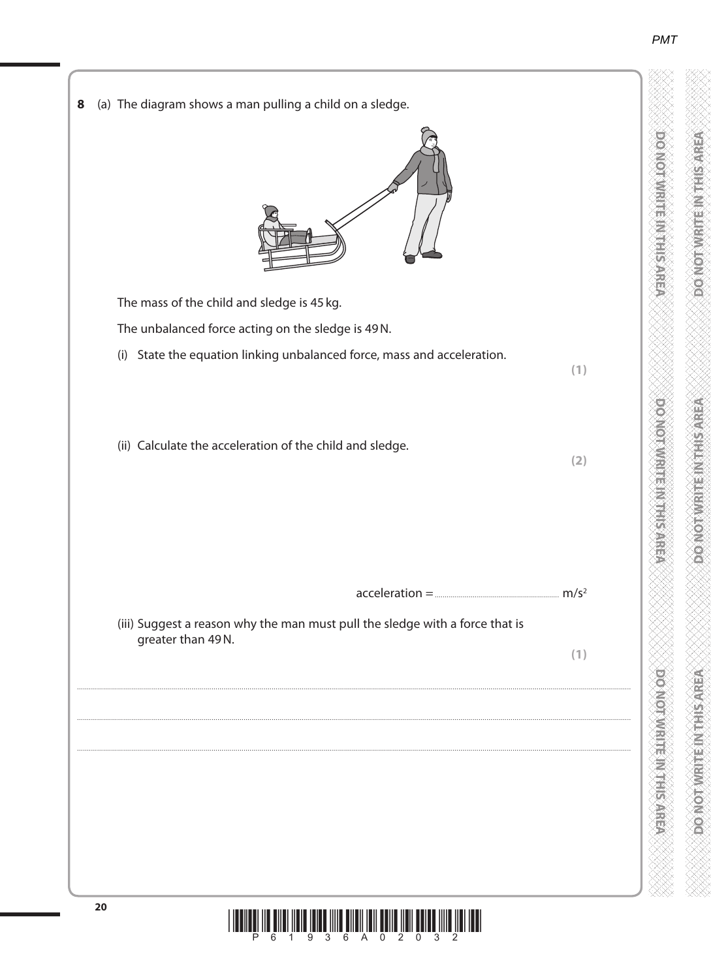| 8 | (a) The diagram shows a man pulling a child on a sledge.                     |     |
|---|------------------------------------------------------------------------------|-----|
|   |                                                                              |     |
|   | The mass of the child and sledge is 45 kg.                                   |     |
|   | The unbalanced force acting on the sledge is 49 N.                           |     |
|   | State the equation linking unbalanced force, mass and acceleration.<br>(i)   | (1) |
|   | (ii) Calculate the acceleration of the child and sledge.                     | (2) |
|   |                                                                              |     |
|   |                                                                              |     |
|   | (iii) Suggest a reason why the man must pull the sledge with a force that is |     |
|   | greater than 49N.                                                            | (1) |
|   |                                                                              |     |
|   |                                                                              |     |
|   |                                                                              |     |
|   |                                                                              |     |
|   |                                                                              |     |
|   |                                                                              |     |
|   |                                                                              |     |
|   |                                                                              |     |

**DO NOTE: AREA**<br>DO NOTE: AREA PRIME IN THIS AREA PRIME IN THIS AREA PRIME IN THIS AREA PRIME IN THIS AREA PRIME IN THIS AREA PRIME IN THE UPPER IN THE UPPER IN THE UPPER IN THE UPPER IN THE UPPER IN THE UPPER IN THE UPPER

**DO NOT WRITE IN THIS AREA** XXXXXXXXXXXXXXXXXXXXXXXXXX

*PMT*

**DO NOTE:** 

**DONOTWERFINTERS** U KARA KANAN KANAN KANAN KANAN KANAN KANAN KAN

**DO NOTE:** 

DO NOTWRITE IN THIS AREA LANAN KANAN KANAN KANAN KANAN KAN

e<br>Maria<br>Mari

**20**  $\left|\frac{1}{2}\right|\left|\frac{1}{2}\right|\left|\frac{1}{2}\right|\left|\frac{1}{2}\right|\left|\frac{1}{2}\right|\left|\frac{1}{2}\right|\left|\frac{1}{2}\right|\left|\frac{1}{2}\right|\left|\frac{1}{2}\right|\left|\frac{1}{2}\right|\left|\frac{1}{2}\right|\left|\frac{1}{2}\right|\left|\frac{1}{2}\right|\left|\frac{1}{2}\right|\left|\frac{1}{2}\right|\left|\frac{1}{2}\right|\left|\frac{1}{2}\right|\left|\frac{1}{2}\right|\left|\frac{1}{2}\right|\left|\frac{1}{2}\right|\left|\frac{1}{2}\right|\left|\frac{1$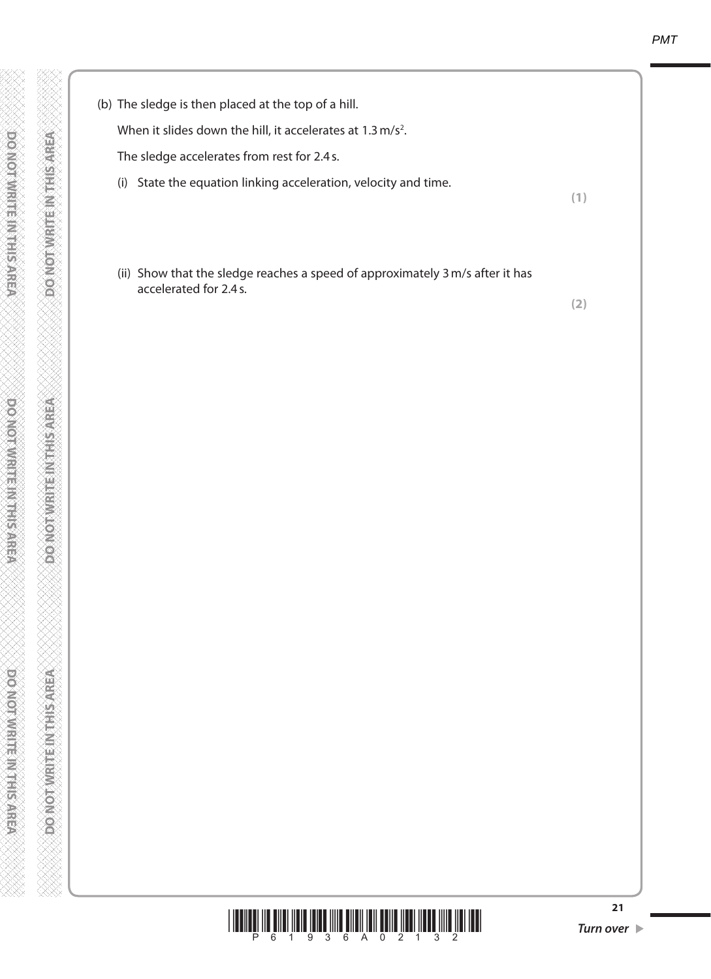**DO NOT WRITEIN THIS AREA** 

(b) The sledge is then placed at the top of a hill. When it slides down the hill, it accelerates at 1.3 m/s<sup>2</sup>. The sledge accelerates from rest for 2.4s. (i) State the equation linking acceleration, velocity and time. **(1)**

 (ii) Show that the sledge reaches a speed of approximately 3m/s after it has accelerated for 2.4s.

**(2)**

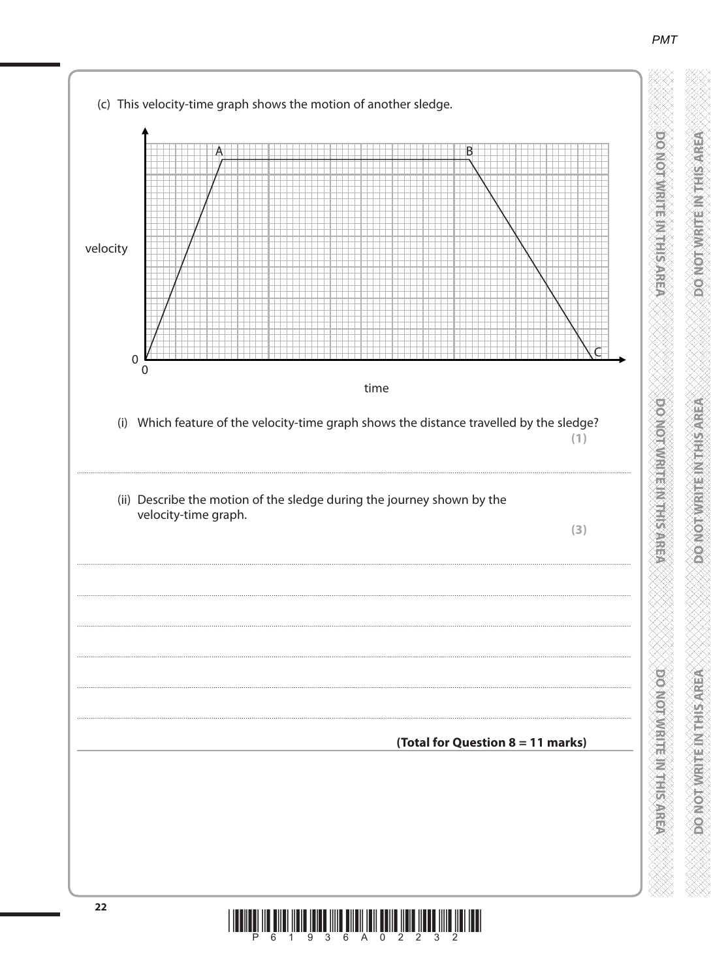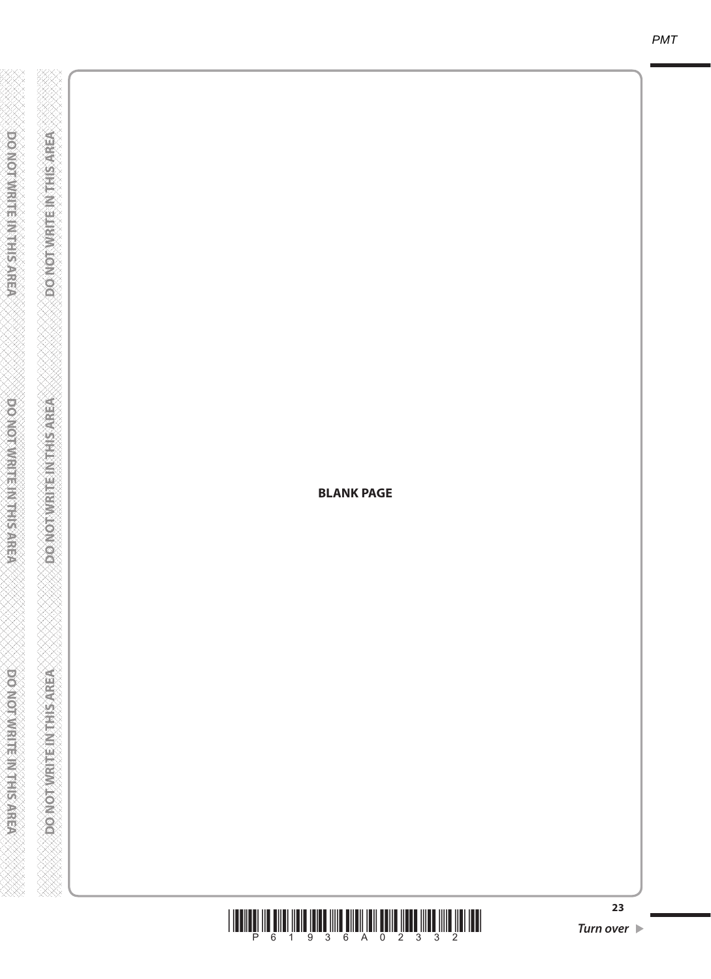DO NOT WRITE INTHIS AREA

**DOMOT WRITEINTHIS AREA** 



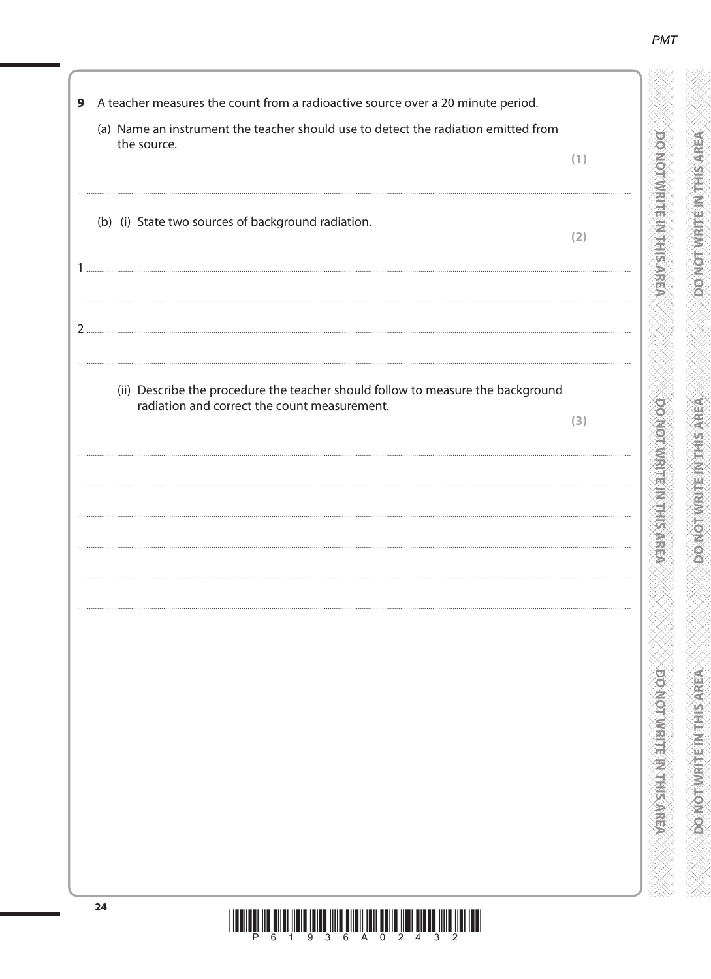| (a) Name an instrument the teacher should use to detect the radiation emitted from<br>the source.                               |     |
|---------------------------------------------------------------------------------------------------------------------------------|-----|
|                                                                                                                                 | (1) |
| (b) (i) State two sources of background radiation.                                                                              | (2) |
|                                                                                                                                 |     |
| (ii) Describe the procedure the teacher should follow to measure the background<br>radiation and correct the count measurement. | (3) |
|                                                                                                                                 |     |
|                                                                                                                                 |     |
|                                                                                                                                 |     |
|                                                                                                                                 |     |
|                                                                                                                                 |     |
|                                                                                                                                 |     |
|                                                                                                                                 |     |
|                                                                                                                                 |     |
|                                                                                                                                 |     |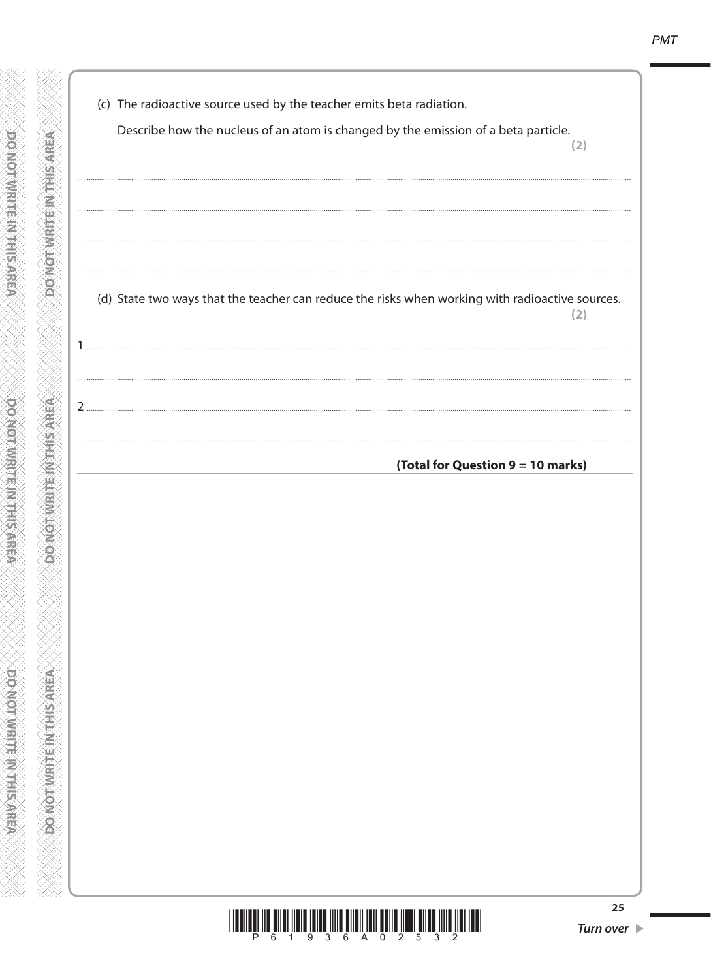|   | Describe how the nucleus of an atom is changed by the emission of a beta particle.              | (2) |
|---|-------------------------------------------------------------------------------------------------|-----|
|   | (d) State two ways that the teacher can reduce the risks when working with radioactive sources. | 2)  |
| 2 |                                                                                                 |     |
|   | (Total for Question 9 = 10 marks)                                                               |     |
|   |                                                                                                 |     |
|   |                                                                                                 |     |
|   |                                                                                                 |     |
|   |                                                                                                 |     |
|   |                                                                                                 |     |
|   |                                                                                                 |     |
|   |                                                                                                 |     |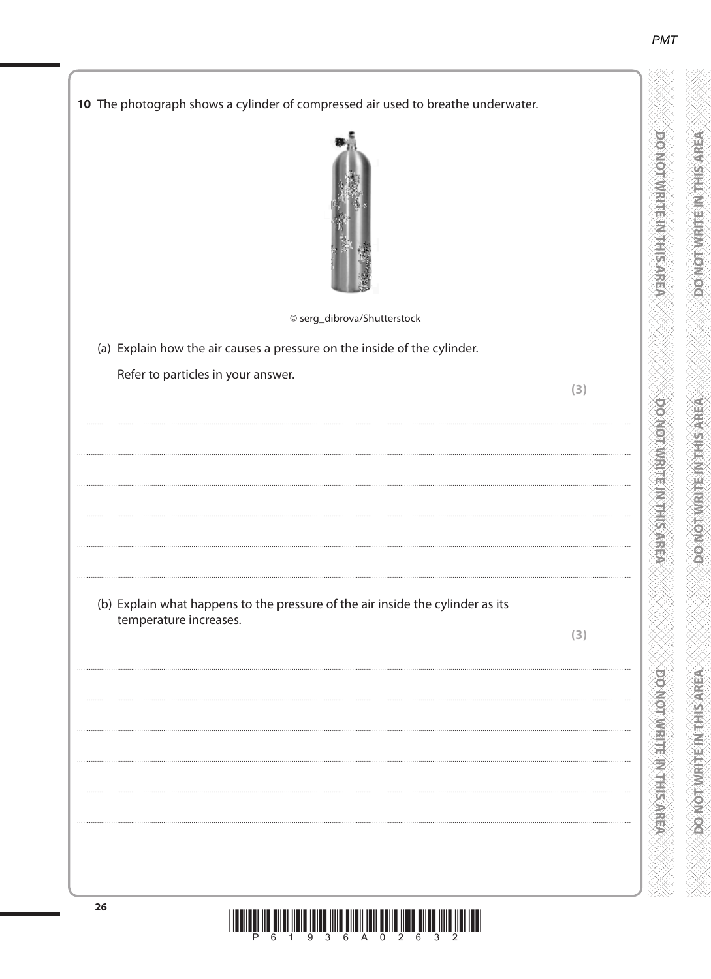| 10 The photograph shows a cylinder of compressed air used to breathe underwater. |     |
|----------------------------------------------------------------------------------|-----|
| © serg_dibrova/Shutterstock                                                      |     |
| (a) Explain how the air causes a pressure on the inside of the cylinder.         |     |
| Refer to particles in your answer.                                               | (3) |
|                                                                                  |     |
|                                                                                  |     |
|                                                                                  |     |
|                                                                                  |     |
| (b) Explain what happens to the pressure of the air inside the cylinder as its   |     |
| temperature increases.                                                           | (3) |
|                                                                                  |     |
|                                                                                  |     |
|                                                                                  |     |
|                                                                                  |     |
|                                                                                  |     |
|                                                                                  |     |
|                                                                                  |     |

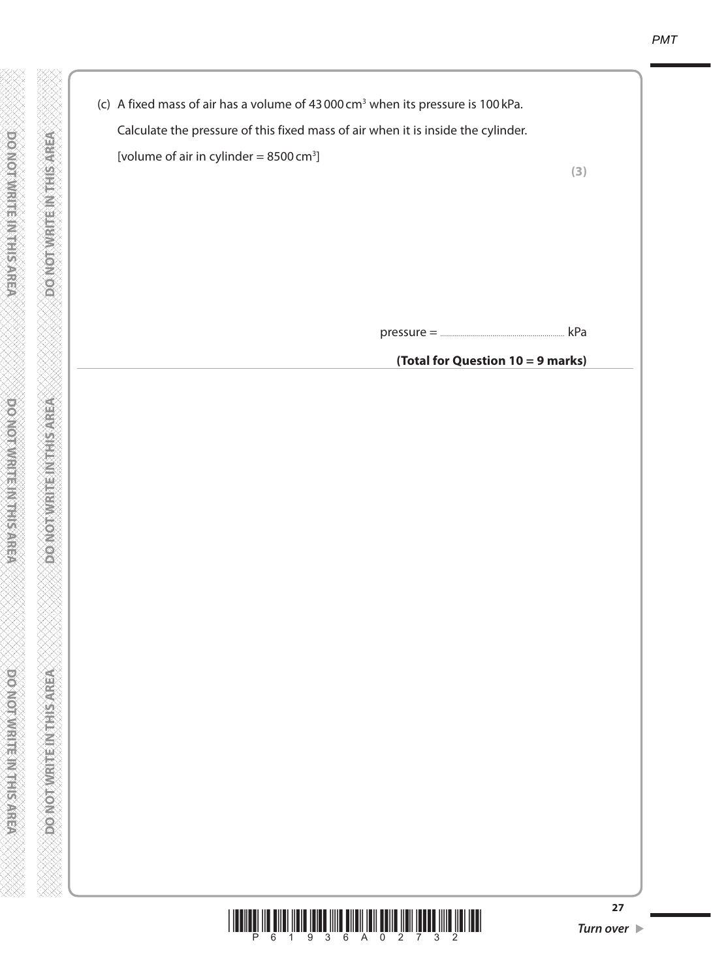(c) A fixed mass of air has a volume of 43 000 cm<sup>3</sup> when its pressure is 100 kPa. Calculate the pressure of this fixed mass of air when it is inside the cylinder. [volume of air in cylinder  $= 8500 \text{ cm}^3$ ] **(3)**

**DO NOT WRITE IN THIS AREA DO NOT WRITE IN THIS AREA DO NOT WRITE IN THIS AREA**

**DO NOT WRITE IN THIS AREA** 

DO NOT WRITE IN THIS AREA

**DO NOT WRITE INTHIS AREA** 

pressure = .............................................................. kPa

**(Total for Question 10 = 9 marks)**

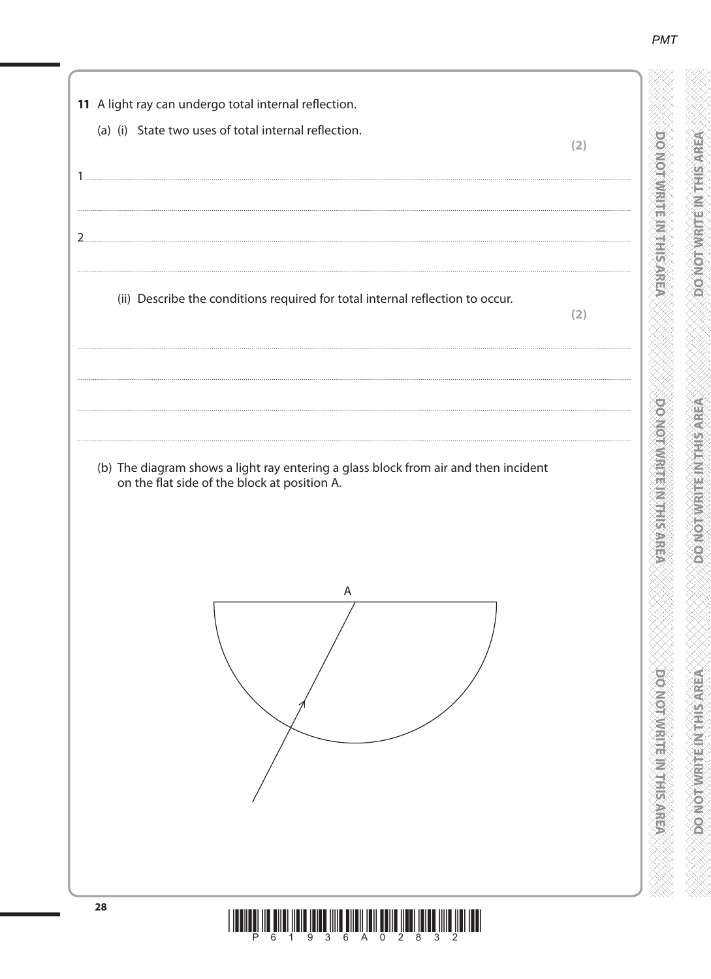**DOMOTOM: HE MITHSAREA** 

**DONOLWRITEINITEIN** 

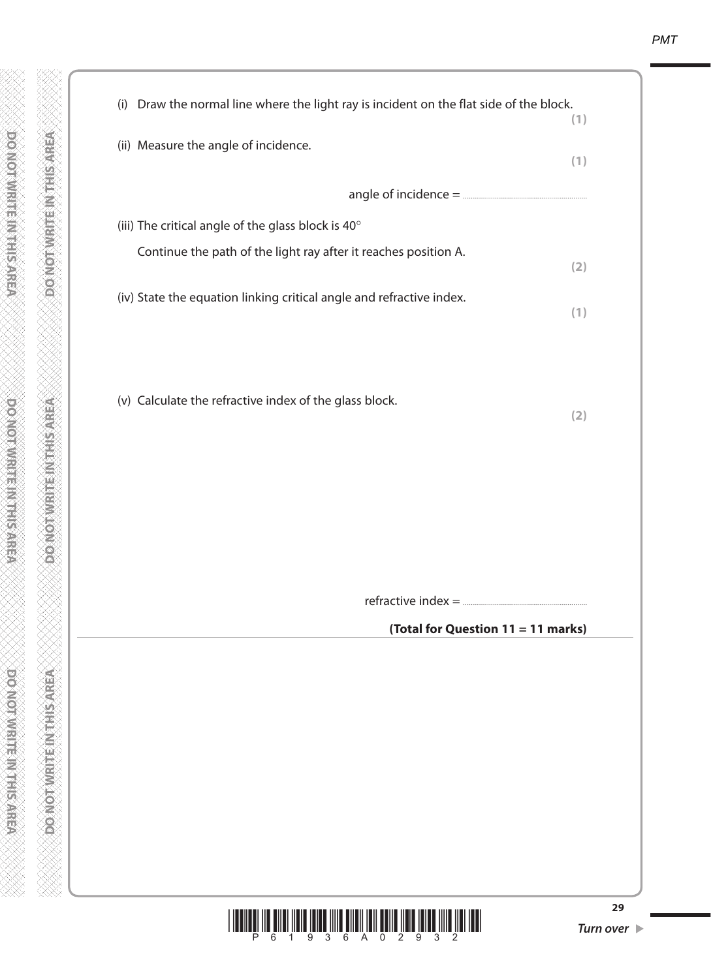| Draw the normal line where the light ray is incident on the flat side of the block.<br>(i)                                   | (1)                             |
|------------------------------------------------------------------------------------------------------------------------------|---------------------------------|
| (ii) Measure the angle of incidence.                                                                                         |                                 |
|                                                                                                                              | (1)                             |
|                                                                                                                              |                                 |
| (iii) The critical angle of the glass block is 40°                                                                           |                                 |
| Continue the path of the light ray after it reaches position A.                                                              |                                 |
|                                                                                                                              | (2)                             |
| (iv) State the equation linking critical angle and refractive index.                                                         | (1)                             |
|                                                                                                                              |                                 |
|                                                                                                                              |                                 |
|                                                                                                                              |                                 |
| (v) Calculate the refractive index of the glass block.                                                                       | (2)                             |
|                                                                                                                              |                                 |
|                                                                                                                              |                                 |
|                                                                                                                              |                                 |
|                                                                                                                              |                                 |
|                                                                                                                              |                                 |
|                                                                                                                              |                                 |
|                                                                                                                              |                                 |
| (Total for Question 11 = 11 marks)                                                                                           |                                 |
|                                                                                                                              |                                 |
|                                                                                                                              |                                 |
|                                                                                                                              |                                 |
|                                                                                                                              |                                 |
|                                                                                                                              |                                 |
|                                                                                                                              |                                 |
|                                                                                                                              |                                 |
|                                                                                                                              |                                 |
|                                                                                                                              |                                 |
|                                                                                                                              |                                 |
|                                                                                                                              |                                 |
| <u>Titudi ile bildi ilgib ishla illik bildi illik boʻlgan bildi ildi. Boʻlgan bildi ildi ildi.</u><br>$2^{\circ}$<br>3 6 A 0 | Turn over $\blacktriangleright$ |

**DO NOT WRITE IN THIS AREA DO NOT WRITE IN THIS AREA DO NOT WRITE IN THIS AREA**

**DOMOT WRITEIN THIS AREA** 

**DO NOT WRITE IN THIS AREA**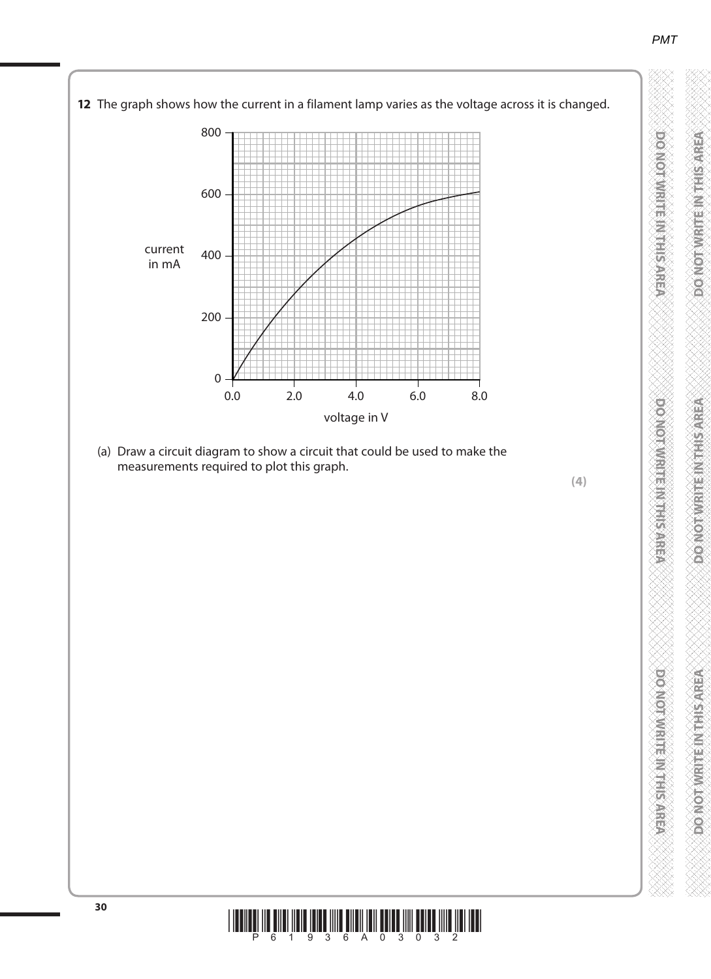

**30 30 100 100 100 100 100 100 100 100 100 100 100 100 100 100 100 100 100 100 100 100 100 100 100 100 100 100 100 100 100 100 100 100 100 100 100 1** 

**DO NOTE: AREA**<br>DO NOTE: AREA PRIME IN THIS AREA PRIME IN THIS AREA PRIME IN THIS AREA PRIME IN THIS AREA PRIME IN THIS AREA PRIME IN THE UPPER IN THE UPPER IN THE UPPER IN THE UPPER IN THE UPPER IN THE UPPER IN THE UPPER

DOMOTWRITE IN THIS AREA

**DO NOTE:** 

**DONOLWRITEIN THATSAREA** 

**DO NOTE:**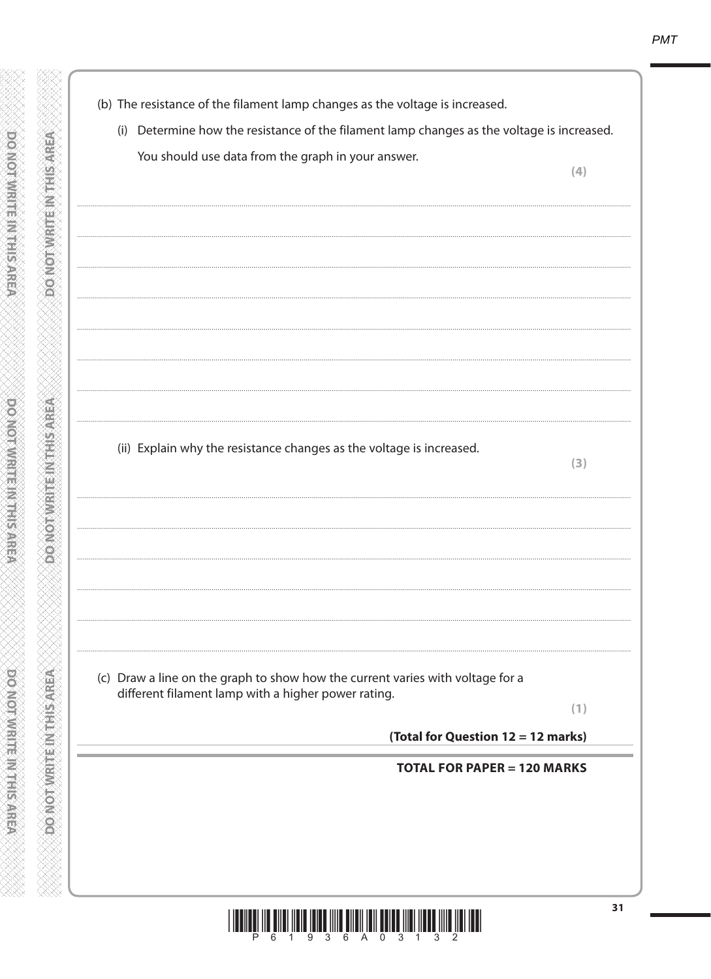(b) The resistance of the filament lamp changes as the voltage is increased. (i) Determine how the resistance of the filament lamp changes as the voltage is increased. You should use data from the graph in your answer.  $(4)$ (ii) Explain why the resistance changes as the voltage is increased.  $(3)$ (c) Draw a line on the graph to show how the current varies with voltage for a different filament lamp with a higher power rating.  $(1)$ (Total for Question 12 = 12 marks) **TOTAL FOR PAPER = 120 MARKS** 

**DOMOTIVIE BREAKEER** 

**DOMOT WRITEIN THIS AREA**